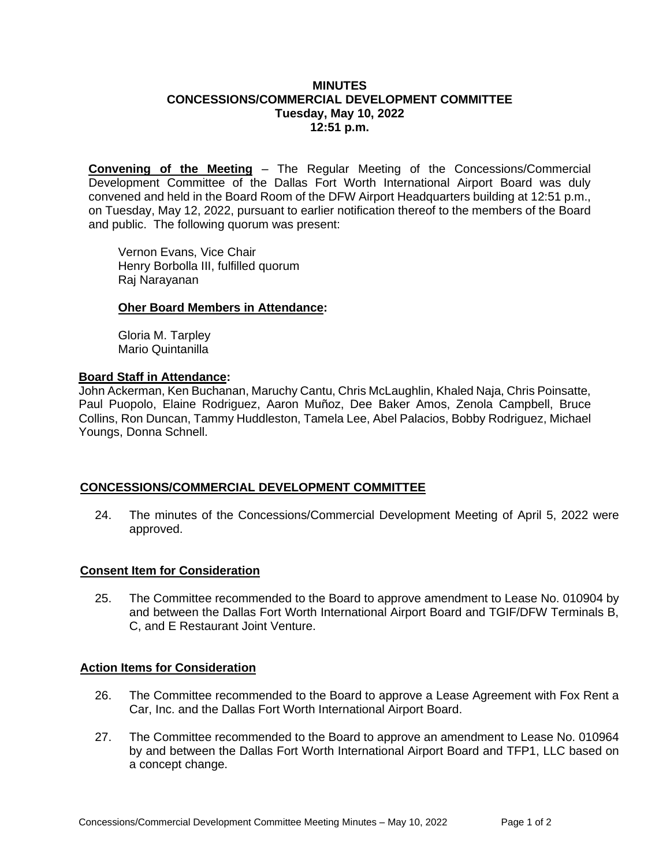## **MINUTES CONCESSIONS/COMMERCIAL DEVELOPMENT COMMITTEE Tuesday, May 10, 2022 12:51 p.m.**

**Convening of the Meeting** – The Regular Meeting of the Concessions/Commercial Development Committee of the Dallas Fort Worth International Airport Board was duly convened and held in the Board Room of the DFW Airport Headquarters building at 12:51 p.m., on Tuesday, May 12, 2022, pursuant to earlier notification thereof to the members of the Board and public. The following quorum was present:

Vernon Evans, Vice Chair Henry Borbolla III, fulfilled quorum Raj Narayanan

#### **Oher Board Members in Attendance:**

Gloria M. Tarpley Mario Quintanilla

#### **Board Staff in Attendance:**

John Ackerman, Ken Buchanan, Maruchy Cantu, Chris McLaughlin, Khaled Naja, Chris Poinsatte, Paul Puopolo, Elaine Rodriguez, Aaron Muñoz, Dee Baker Amos, Zenola Campbell, Bruce Collins, Ron Duncan, Tammy Huddleston, Tamela Lee, Abel Palacios, Bobby Rodriguez, Michael Youngs, Donna Schnell.

## **CONCESSIONS/COMMERCIAL DEVELOPMENT COMMITTEE**

24. The minutes of the Concessions/Commercial Development Meeting of April 5, 2022 were approved.

## **Consent Item for Consideration**

25. The Committee recommended to the Board to approve amendment to Lease No. 010904 by and between the Dallas Fort Worth International Airport Board and TGIF/DFW Terminals B, C, and E Restaurant Joint Venture.

## **Action Items for Consideration**

- 26. The Committee recommended to the Board to approve a Lease Agreement with Fox Rent a Car, Inc. and the Dallas Fort Worth International Airport Board.
- 27. The Committee recommended to the Board to approve an amendment to Lease No. 010964 by and between the Dallas Fort Worth International Airport Board and TFP1, LLC based on a concept change.